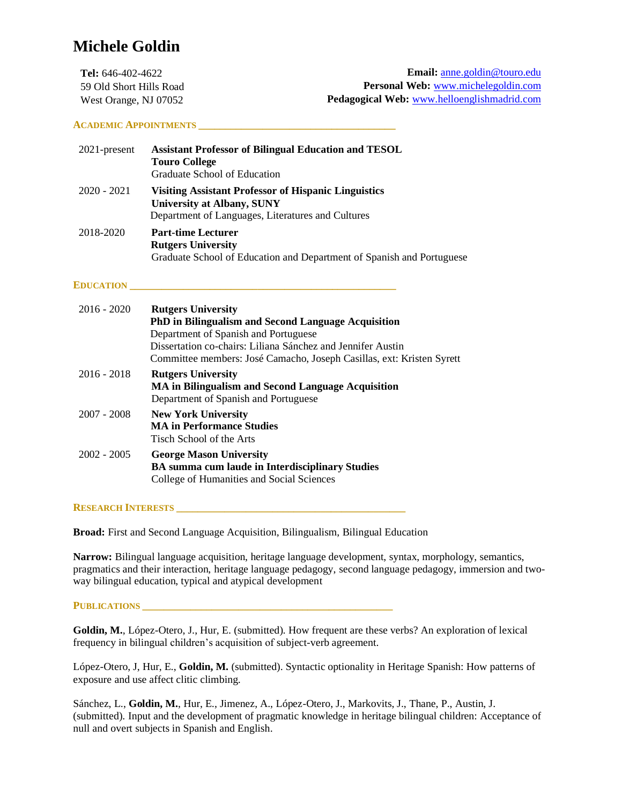# **Michele Goldin**

| <b>Tel:</b> $646-402-4622$ | <b>Email:</b> anne.goldin@touro.edu         |
|----------------------------|---------------------------------------------|
| 59 Old Short Hills Road    | <b>Personal Web:</b> www.michelegoldin.com  |
| West Orange, NJ 07052      | Pedagogical Web: www.helloenglishmadrid.com |

## **ACADEMIC APPOINTMENTS \_\_\_\_\_\_\_\_\_\_\_\_\_\_\_\_\_\_\_\_\_\_\_\_\_\_\_\_\_\_\_\_\_\_\_\_\_**

| $2021$ -present | <b>Assistant Professor of Bilingual Education and TESOL</b><br><b>Touro College</b><br>Graduate School of Education                            |
|-----------------|------------------------------------------------------------------------------------------------------------------------------------------------|
| $2020 - 2021$   | <b>Visiting Assistant Professor of Hispanic Linguistics</b><br>University at Albany, SUNY<br>Department of Languages, Literatures and Cultures |
| 2018-2020       | <b>Part-time Lecturer</b><br><b>Rutgers University</b><br>Graduate School of Education and Department of Spanish and Portuguese                |

# **EDUCATION \_\_\_\_\_\_\_\_\_\_\_\_\_\_\_\_\_\_\_\_\_\_\_\_\_\_\_\_\_\_\_\_\_\_\_\_\_\_\_\_\_\_\_\_\_\_\_\_\_\_**

| $2016 - 2020$ | <b>Rutgers University</b><br><b>PhD in Bilingualism and Second Language Acquisition</b><br>Department of Spanish and Portuguese<br>Dissertation co-chairs: Liliana Sánchez and Jennifer Austin<br>Committee members: José Camacho, Joseph Casillas, ext: Kristen Syrett |
|---------------|-------------------------------------------------------------------------------------------------------------------------------------------------------------------------------------------------------------------------------------------------------------------------|
| $2016 - 2018$ | <b>Rutgers University</b><br>MA in Bilingualism and Second Language Acquisition<br>Department of Spanish and Portuguese                                                                                                                                                 |
| $2007 - 2008$ | <b>New York University</b><br><b>MA</b> in Performance Studies<br>Tisch School of the Arts                                                                                                                                                                              |
| $2002 - 2005$ | <b>George Mason University</b><br><b>BA</b> summa cum laude in Interdisciplinary Studies<br>College of Humanities and Social Sciences                                                                                                                                   |

# **RESEARCH INTERESTS \_\_\_\_\_\_\_\_\_\_\_\_\_\_\_\_\_\_\_\_\_\_\_\_\_\_\_\_\_\_\_\_\_\_\_\_\_\_\_\_\_\_\_**

**Broad:** First and Second Language Acquisition, Bilingualism, Bilingual Education

**Narrow:** Bilingual language acquisition, heritage language development, syntax, morphology, semantics, pragmatics and their interaction, heritage language pedagogy, second language pedagogy, immersion and twoway bilingual education, typical and atypical development

# PUBLICATIONS *LECTIONS*

**Goldin, M.**, López-Otero, J., Hur, E. (submitted). How frequent are these verbs? An exploration of lexical frequency in bilingual children's acquisition of subject-verb agreement.

López-Otero, J, Hur, E., **Goldin, M.** (submitted). Syntactic optionality in Heritage Spanish: How patterns of exposure and use affect clitic climbing.

Sánchez, L., **Goldin, M.**, Hur, E., Jimenez, A., López-Otero, J., Markovits, J., Thane, P., Austin, J. (submitted). Input and the development of pragmatic knowledge in heritage bilingual children: Acceptance of null and overt subjects in Spanish and English.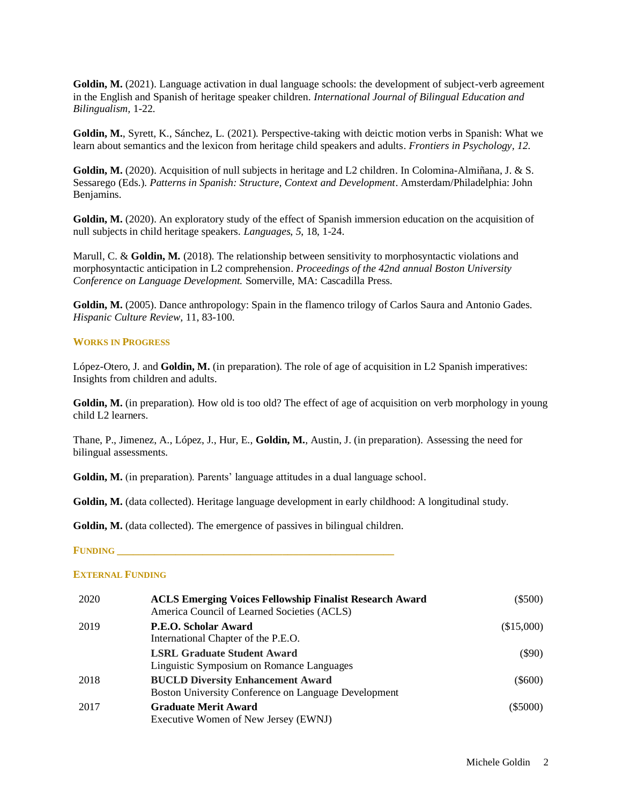Goldin, M. (2021). Language activation in dual language schools: the development of subject-verb agreement in the English and Spanish of heritage speaker children. *International Journal of Bilingual Education and Bilingualism,* 1-22.

**Goldin, M.**, Syrett, K., Sánchez, L. (2021). Perspective-taking with deictic motion verbs in Spanish: What we learn about semantics and the lexicon from heritage child speakers and adults. *Frontiers in Psychology, 12.*

**Goldin, M.** (2020). Acquisition of null subjects in heritage and L2 children. In Colomina-Almiñana, J. & S. Sessarego (Eds.). *Patterns in Spanish: Structure, Context and Development*. Amsterdam/Philadelphia: John Benjamins.

**Goldin, M.** (2020). An exploratory study of the effect of Spanish immersion education on the acquisition of null subjects in child heritage speakers. *Languages*, *5*, 18, 1-24.

Marull, C. & **Goldin, M.** (2018). The relationship between sensitivity to morphosyntactic violations and morphosyntactic anticipation in L2 comprehension. *Proceedings of the 42nd annual Boston University Conference on Language Development.* Somerville, MA: Cascadilla Press.

**Goldin, M.** (2005). Dance anthropology: Spain in the flamenco trilogy of Carlos Saura and Antonio Gades. *Hispanic Culture Review,* 11, 83-100.

#### **WORKS IN PROGRESS**

López-Otero, J. and **Goldin, M.** (in preparation). The role of age of acquisition in L2 Spanish imperatives: Insights from children and adults.

Goldin, M. (in preparation). How old is too old? The effect of age of acquisition on verb morphology in young child L2 learners.

Thane, P., Jimenez, A., López, J., Hur, E., **Goldin, M.**, Austin, J. (in preparation). Assessing the need for bilingual assessments.

**Goldin, M.** (in preparation). Parents' language attitudes in a dual language school.

**Goldin, M.** (data collected). Heritage language development in early childhood: A longitudinal study.

Goldin, M. (data collected). The emergence of passives in bilingual children.

#### **FUNDING \_\_\_\_\_\_\_\_\_\_\_\_\_\_\_\_\_\_\_\_\_\_\_\_\_\_\_\_\_\_\_\_\_\_\_\_\_\_\_\_\_\_\_\_\_\_\_\_\_\_\_\_**

#### **EXTERNAL FUNDING**

| 2020 | <b>ACLS Emerging Voices Fellowship Finalist Research Award</b><br>America Council of Learned Societies (ACLS) | $(\$500)$  |
|------|---------------------------------------------------------------------------------------------------------------|------------|
| 2019 | P.E.O. Scholar Award<br>International Chapter of the P.E.O.                                                   | (\$15,000) |
|      | <b>LSRL Graduate Student Award</b><br>Linguistic Symposium on Romance Languages                               | $(\$90)$   |
| 2018 | <b>BUCLD Diversity Enhancement Award</b><br>Boston University Conference on Language Development              | $(\$600)$  |
| 2017 | <b>Graduate Merit Award</b><br>Executive Women of New Jersey (EWNJ)                                           | $(\$5000)$ |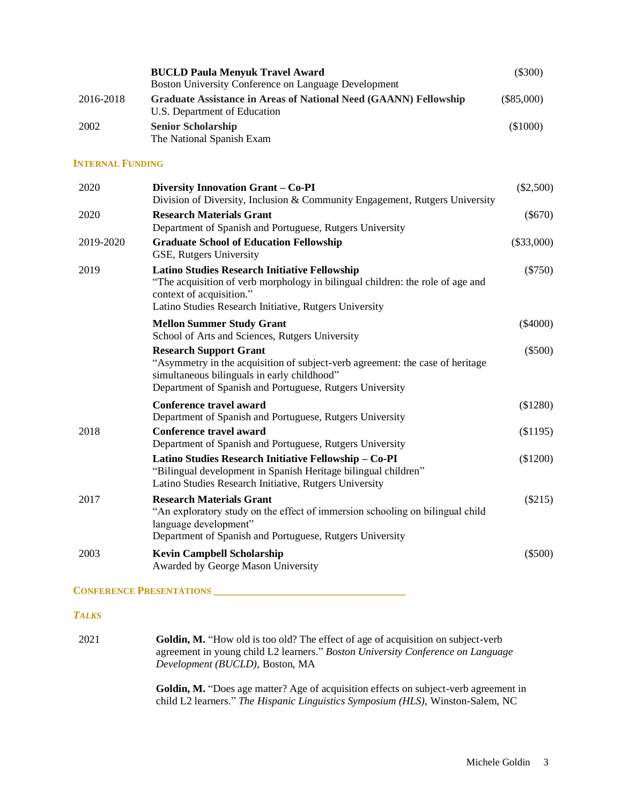|           | <b>BUCLD Paula Menyuk Travel Award</b>                                                                  | $(\$300)$    |
|-----------|---------------------------------------------------------------------------------------------------------|--------------|
|           | Boston University Conference on Language Development                                                    |              |
| 2016-2018 | <b>Graduate Assistance in Areas of National Need (GAANN) Fellowship</b><br>U.S. Department of Education | $(\$85,000)$ |
| 2002      | <b>Senior Scholarship</b><br>The National Spanish Exam                                                  | $(\$1000)$   |

## **INTERNAL FUNDING**

| 2020      | Diversity Innovation Grant - Co-PI<br>Division of Diversity, Inclusion & Community Engagement, Rutgers University                                                                                                            | $(\$2,500)$  |
|-----------|------------------------------------------------------------------------------------------------------------------------------------------------------------------------------------------------------------------------------|--------------|
| 2020      | <b>Research Materials Grant</b><br>Department of Spanish and Portuguese, Rutgers University                                                                                                                                  | $(\$670)$    |
| 2019-2020 | <b>Graduate School of Education Fellowship</b><br>GSE, Rutgers University                                                                                                                                                    | $(\$33,000)$ |
| 2019      | <b>Latino Studies Research Initiative Fellowship</b><br>"The acquisition of verb morphology in bilingual children: the role of age and<br>context of acquisition."<br>Latino Studies Research Initiative, Rutgers University | $(\$750)$    |
|           | <b>Mellon Summer Study Grant</b><br>School of Arts and Sciences, Rutgers University                                                                                                                                          | $(\$4000)$   |
|           | <b>Research Support Grant</b><br>"Asymmetry in the acquisition of subject-verb agreement: the case of heritage<br>simultaneous bilinguals in early childhood"<br>Department of Spanish and Portuguese, Rutgers University    | $(\$500)$    |
|           | Conference travel award<br>Department of Spanish and Portuguese, Rutgers University                                                                                                                                          | (\$1280)     |
| 2018      | Conference travel award<br>Department of Spanish and Portuguese, Rutgers University                                                                                                                                          | (\$1195)     |
|           | Latino Studies Research Initiative Fellowship - Co-PI<br>"Bilingual development in Spanish Heritage bilingual children"<br>Latino Studies Research Initiative, Rutgers University                                            | (\$1200)     |
| 2017      | <b>Research Materials Grant</b><br>"An exploratory study on the effect of immersion schooling on bilingual child<br>language development"<br>Department of Spanish and Portuguese, Rutgers University                        | (\$215)      |
| 2003      | <b>Kevin Campbell Scholarship</b><br>Awarded by George Mason University                                                                                                                                                      | $(\$500)$    |

**CONFERENCE PRESENTATIONS \_\_\_\_\_\_\_\_\_\_\_\_\_\_\_\_\_\_\_\_\_\_\_\_\_\_\_\_\_\_\_\_\_\_\_\_**

## *TALKS*

2021 **Goldin, M.** "How old is too old? The effect of age of acquisition on subject-verb agreement in young child L2 learners." *Boston University Conference on Language Development (BUCLD),* Boston, MA

> **Goldin, M.** "Does age matter? Age of acquisition effects on subject-verb agreement in child L2 learners." *The Hispanic Linguistics Symposium (HLS),* Winston-Salem, NC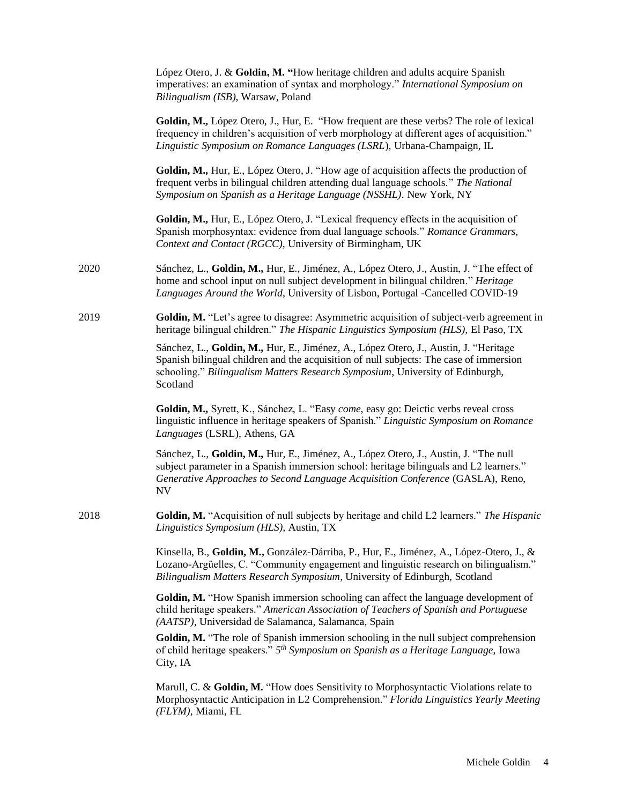|      | López Otero, J. & Goldin, M. "How heritage children and adults acquire Spanish<br>imperatives: an examination of syntax and morphology." International Symposium on<br>Bilingualism (ISB), Warsaw, Poland                                                                     |
|------|-------------------------------------------------------------------------------------------------------------------------------------------------------------------------------------------------------------------------------------------------------------------------------|
|      | Goldin, M., López Otero, J., Hur, E. "How frequent are these verbs? The role of lexical<br>frequency in children's acquisition of verb morphology at different ages of acquisition."<br>Linguistic Symposium on Romance Languages (LSRL), Urbana-Champaign, IL                |
|      | Goldin, M., Hur, E., López Otero, J. "How age of acquisition affects the production of<br>frequent verbs in bilingual children attending dual language schools." The National<br>Symposium on Spanish as a Heritage Language (NSSHL). New York, NY                            |
|      | Goldin, M., Hur, E., López Otero, J. "Lexical frequency effects in the acquisition of<br>Spanish morphosyntax: evidence from dual language schools." Romance Grammars,<br>Context and Contact (RGCC), University of Birmingham, UK                                            |
| 2020 | Sánchez, L., Goldin, M., Hur, E., Jiménez, A., López Otero, J., Austin, J. "The effect of<br>home and school input on null subject development in bilingual children." Heritage<br>Languages Around the World, University of Lisbon, Portugal -Cancelled COVID-19             |
| 2019 | Goldin, M. "Let's agree to disagree: Asymmetric acquisition of subject-verb agreement in<br>heritage bilingual children." The Hispanic Linguistics Symposium (HLS), El Paso, TX                                                                                               |
|      | Sánchez, L., Goldin, M., Hur, E., Jiménez, A., López Otero, J., Austin, J. "Heritage<br>Spanish bilingual children and the acquisition of null subjects: The case of immersion<br>schooling." Bilingualism Matters Research Symposium, University of Edinburgh,<br>Scotland   |
|      | Goldin, M., Syrett, K., Sánchez, L. "Easy come, easy go: Deictic verbs reveal cross<br>linguistic influence in heritage speakers of Spanish." Linguistic Symposium on Romance<br>Languages (LSRL), Athens, GA                                                                 |
|      | Sánchez, L., Goldin, M., Hur, E., Jiménez, A., López Otero, J., Austin, J. "The null<br>subject parameter in a Spanish immersion school: heritage bilinguals and L2 learners."<br>Generative Approaches to Second Language Acquisition Conference (GASLA), Reno,<br><b>NV</b> |
| 2018 | Goldin, M. "Acquisition of null subjects by heritage and child L2 learners." The Hispanic<br>Linguistics Symposium (HLS), Austin, TX                                                                                                                                          |
|      | Kinsella, B., Goldin, M., González-Dárriba, P., Hur, E., Jiménez, A., López-Otero, J., &<br>Lozano-Argüelles, C. "Community engagement and linguistic research on bilingualism."<br>Bilingualism Matters Research Symposium, University of Edinburgh, Scotland                |
|      | Goldin, M. "How Spanish immersion schooling can affect the language development of<br>child heritage speakers." American Association of Teachers of Spanish and Portuguese<br>(AATSP), Universidad de Salamanca, Salamanca, Spain                                             |
|      | Goldin, M. "The role of Spanish immersion schooling in the null subject comprehension<br>of child heritage speakers." 5 <sup>th</sup> Symposium on Spanish as a Heritage Language, Iowa<br>City, IA                                                                           |
|      | Marull, C. & Goldin, M. "How does Sensitivity to Morphosyntactic Violations relate to<br>Morphosyntactic Anticipation in L2 Comprehension." Florida Linguistics Yearly Meeting<br>(FLYM), Miami, FL                                                                           |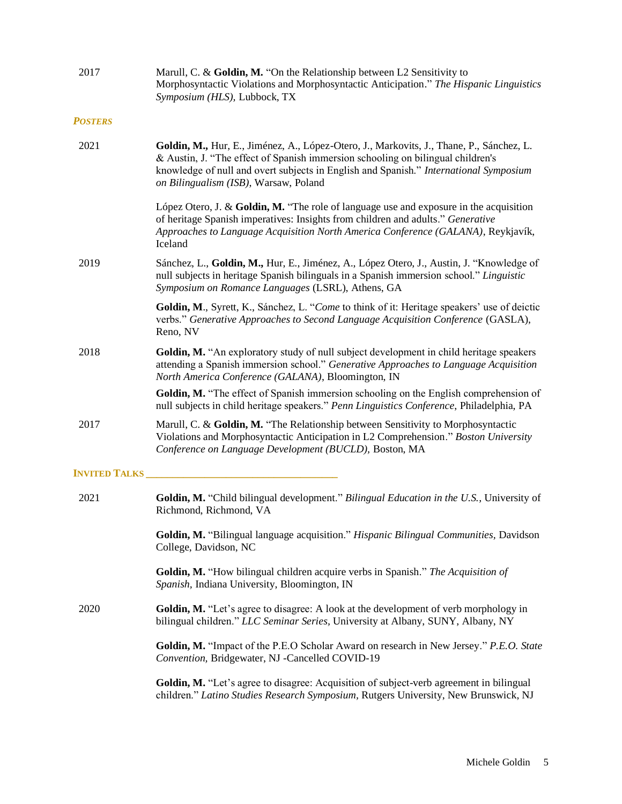| 2017                  | Marull, C. & Goldin, M. "On the Relationship between L2 Sensitivity to<br>Morphosyntactic Violations and Morphosyntactic Anticipation." The Hispanic Linguistics<br>Symposium (HLS), Lubbock, TX                                                                                                              |
|-----------------------|---------------------------------------------------------------------------------------------------------------------------------------------------------------------------------------------------------------------------------------------------------------------------------------------------------------|
| <b>POSTERS</b>        |                                                                                                                                                                                                                                                                                                               |
| 2021                  | Goldin, M., Hur, E., Jiménez, A., López-Otero, J., Markovits, J., Thane, P., Sánchez, L.<br>& Austin, J. "The effect of Spanish immersion schooling on bilingual children's<br>knowledge of null and overt subjects in English and Spanish." International Symposium<br>on Bilingualism (ISB), Warsaw, Poland |
|                       | López Otero, J. & Goldin, M. "The role of language use and exposure in the acquisition<br>of heritage Spanish imperatives: Insights from children and adults." Generative<br>Approaches to Language Acquisition North America Conference (GALANA), Reykjavík,<br>Iceland                                      |
| 2019                  | Sánchez, L., Goldin, M., Hur, E., Jiménez, A., López Otero, J., Austin, J. "Knowledge of<br>null subjects in heritage Spanish bilinguals in a Spanish immersion school." Linguistic<br>Symposium on Romance Languages (LSRL), Athens, GA                                                                      |
|                       | Goldin, M., Syrett, K., Sánchez, L. "Come to think of it: Heritage speakers' use of deictic<br>verbs." Generative Approaches to Second Language Acquisition Conference (GASLA),<br>Reno, NV                                                                                                                   |
| 2018                  | Goldin, M. "An exploratory study of null subject development in child heritage speakers<br>attending a Spanish immersion school." Generative Approaches to Language Acquisition<br>North America Conference (GALANA), Bloomington, IN                                                                         |
|                       | Goldin, M. "The effect of Spanish immersion schooling on the English comprehension of<br>null subjects in child heritage speakers." Penn Linguistics Conference, Philadelphia, PA                                                                                                                             |
| 2017                  | Marull, C. & Goldin, M. "The Relationship between Sensitivity to Morphosyntactic<br>Violations and Morphosyntactic Anticipation in L2 Comprehension." Boston University<br>Conference on Language Development (BUCLD), Boston, MA                                                                             |
| <b>INVITED TALKS_</b> |                                                                                                                                                                                                                                                                                                               |
| 2021                  | Goldin, M. "Child bilingual development." Bilingual Education in the U.S., University of<br>Richmond, Richmond, VA                                                                                                                                                                                            |
|                       | Goldin, M. "Bilingual language acquisition." Hispanic Bilingual Communities, Davidson<br>College, Davidson, NC                                                                                                                                                                                                |
|                       | Goldin, M. "How bilingual children acquire verbs in Spanish." The Acquisition of<br>Spanish, Indiana University, Bloomington, IN                                                                                                                                                                              |
| 2020                  | Goldin, M. "Let's agree to disagree: A look at the development of verb morphology in<br>bilingual children." LLC Seminar Series, University at Albany, SUNY, Albany, NY                                                                                                                                       |
|                       | Goldin, M. "Impact of the P.E.O Scholar Award on research in New Jersey." P.E.O. State<br>Convention, Bridgewater, NJ -Cancelled COVID-19                                                                                                                                                                     |
|                       | Goldin, M. "Let's agree to disagree: Acquisition of subject-verb agreement in bilingual<br>children." Latino Studies Research Symposium, Rutgers University, New Brunswick, NJ                                                                                                                                |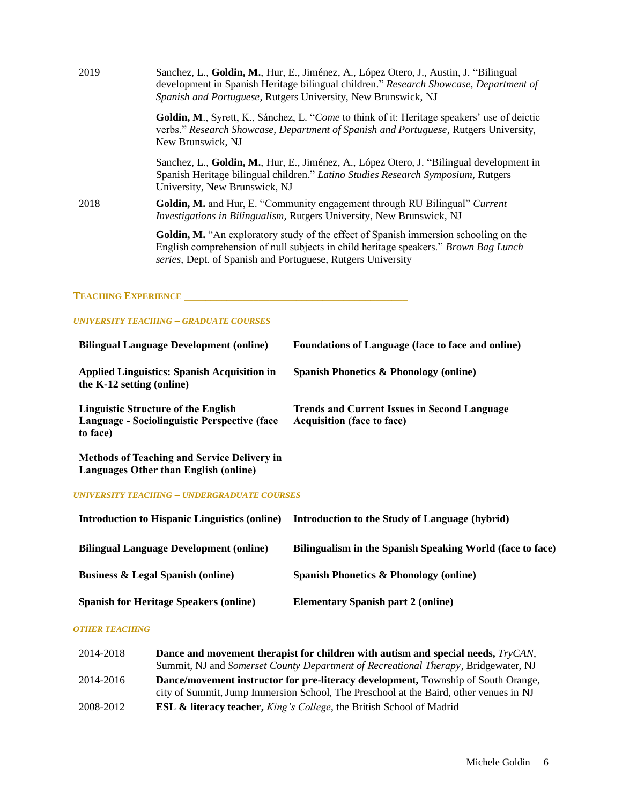| 2019                       | Sanchez, L., Goldin, M., Hur, E., Jiménez, A., López Otero, J., Austin, J. "Bilingual"<br>development in Spanish Heritage bilingual children." Research Showcase, Department of<br>Spanish and Portuguese, Rutgers University, New Brunswick, NJ  |
|----------------------------|---------------------------------------------------------------------------------------------------------------------------------------------------------------------------------------------------------------------------------------------------|
|                            | Goldin, M., Syrett, K., Sánchez, L. "Come to think of it: Heritage speakers' use of deictic<br>verbs." Research Showcase, Department of Spanish and Portuguese, Rutgers University,<br>New Brunswick, NJ                                          |
|                            | Sanchez, L., Goldin, M., Hur, E., Jiménez, A., López Otero, J. "Bilingual development in<br>Spanish Heritage bilingual children." Latino Studies Research Symposium, Rutgers<br>University, New Brunswick, NJ                                     |
| 2018                       | Goldin, M. and Hur, E. "Community engagement through RU Bilingual" Current<br>Investigations in Bilingualism, Rutgers University, New Brunswick, NJ                                                                                               |
|                            | <b>Goldin, M.</b> "An exploratory study of the effect of Spanish immersion schooling on the<br>English comprehension of null subjects in child heritage speakers." Brown Bag Lunch<br>series, Dept. of Spanish and Portuguese, Rutgers University |
| <b>TEACHING EXPERIENCE</b> |                                                                                                                                                                                                                                                   |
|                            | <b>UNIVERSITY TEACHING - GRADUATE COURSES</b>                                                                                                                                                                                                     |

| <b>Bilingual Language Development (online)</b>                                                  | Foundations of Language (face to face and online)                                        |
|-------------------------------------------------------------------------------------------------|------------------------------------------------------------------------------------------|
| Applied Linguistics: Spanish Acquisition in<br>the $K-12$ setting (online)                      | Spanish Phonetics $\&$ Phonology (online)                                                |
| Linguistic Structure of the English<br>Language - Sociolinguistic Perspective (face<br>to face) | <b>Trends and Current Issues in Second Language</b><br><b>Acquisition (face to face)</b> |
| <b>Methods of Teaching and Service Delivery in</b><br>Languages Other than English (online)     |                                                                                          |
| UNIVERSITY TEACHING – UNDERGRADUATE COURSES                                                     |                                                                                          |

| <b>Introduction to Hispanic Linguistics (online)</b> | Introduction to the Study of Language (hybrid)            |
|------------------------------------------------------|-----------------------------------------------------------|
| <b>Bilingual Language Development (online)</b>       | Bilingualism in the Spanish Speaking World (face to face) |
| <b>Business &amp; Legal Spanish (online)</b>         | <b>Spanish Phonetics &amp; Phonology (online)</b>         |
| <b>Spanish for Heritage Speakers (online)</b>        | <b>Elementary Spanish part 2 (online)</b>                 |

#### *OTHER TEACHING*

| 2014-2018 | Dance and movement therapist for children with autism and special needs, <i>TryCAN</i> , |
|-----------|------------------------------------------------------------------------------------------|
|           | Summit, NJ and Somerset County Department of Recreational Therapy, Bridgewater, NJ       |
| 2014-2016 | <b>Dance/movement instructor for pre-literacy development, Township of South Orange,</b> |
|           | city of Summit, Jump Immersion School, The Preschool at the Baird, other venues in NJ    |
| 2008-2012 | <b>ESL &amp; literacy teacher, King's College, the British School of Madrid</b>          |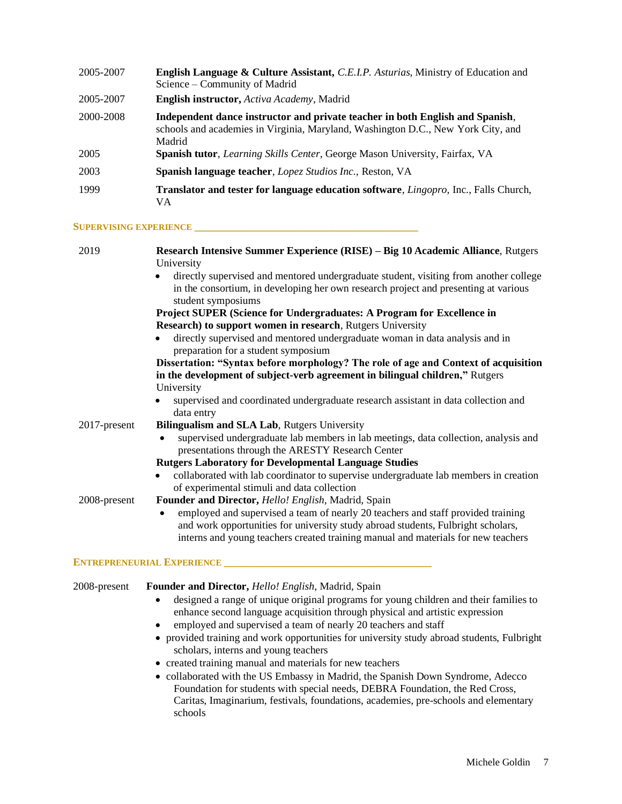| 2005-2007 | <b>English Language &amp; Culture Assistant, C.E.I.P. Asturias, Ministry of Education and</b><br>Science – Community of Madrid                                              |
|-----------|-----------------------------------------------------------------------------------------------------------------------------------------------------------------------------|
| 2005-2007 | <b>English instructor, Activa Academy, Madrid</b>                                                                                                                           |
| 2000-2008 | Independent dance instructor and private teacher in both English and Spanish,<br>schools and academies in Virginia, Maryland, Washington D.C., New York City, and<br>Madrid |
| 2005      | Spanish tutor, Learning Skills Center, George Mason University, Fairfax, VA                                                                                                 |
| 2003      | Spanish language teacher, Lopez Studios Inc., Reston, VA                                                                                                                    |
| 1999      | <b>Translator and tester for language education software, Lingopro, Inc., Falls Church,</b><br>VА                                                                           |

#### **SUPERVISING EXPERIENCE \_\_\_\_\_\_\_\_\_\_\_\_\_\_\_\_\_\_\_\_\_\_\_\_\_\_\_\_\_\_\_\_\_\_\_\_\_\_\_\_\_\_**

| 2019         | Research Intensive Summer Experience (RISE) – Big 10 Academic Alliance, Rutgers<br>University                                                                                                                                                                          |
|--------------|------------------------------------------------------------------------------------------------------------------------------------------------------------------------------------------------------------------------------------------------------------------------|
|              | directly supervised and mentored undergraduate student, visiting from another college<br>in the consortium, in developing her own research project and presenting at various<br>student symposiums                                                                     |
|              | Project SUPER (Science for Undergraduates: A Program for Excellence in                                                                                                                                                                                                 |
|              | <b>Research) to support women in research, Rutgers University</b>                                                                                                                                                                                                      |
|              | directly supervised and mentored undergraduate woman in data analysis and in<br>preparation for a student symposium                                                                                                                                                    |
|              | Dissertation: "Syntax before morphology? The role of age and Context of acquisition<br>in the development of subject-verb agreement in bilingual children," Rutgers                                                                                                    |
|              | University                                                                                                                                                                                                                                                             |
|              | supervised and coordinated undergraduate research assistant in data collection and<br>data entry                                                                                                                                                                       |
| 2017-present | Bilingualism and SLA Lab, Rutgers University                                                                                                                                                                                                                           |
|              | supervised undergraduate lab members in lab meetings, data collection, analysis and<br>$\bullet$<br>presentations through the ARESTY Research Center                                                                                                                   |
|              | <b>Rutgers Laboratory for Developmental Language Studies</b>                                                                                                                                                                                                           |
|              | collaborated with lab coordinator to supervise undergraduate lab members in creation<br>٠<br>of experimental stimuli and data collection                                                                                                                               |
| 2008-present | Founder and Director, Hello! English, Madrid, Spain                                                                                                                                                                                                                    |
|              | employed and supervised a team of nearly 20 teachers and staff provided training<br>$\bullet$<br>and work opportunities for university study abroad students, Fulbright scholars,<br>interns and young teachers created training manual and materials for new teachers |

## **ENTREPRENEURIAL EXPERIENCE \_\_\_\_\_\_\_\_\_\_\_\_\_\_\_\_\_\_\_\_\_\_\_\_\_\_\_\_\_\_\_\_\_\_\_\_\_\_\_**

#### 2008-present **Founder and Director,** *Hello! English*, Madrid, Spain

- designed a range of unique original programs for young children and their families to enhance second language acquisition through physical and artistic expression
- employed and supervised a team of nearly 20 teachers and staff
- provided training and work opportunities for university study abroad students, Fulbright scholars, interns and young teachers
- created training manual and materials for new teachers
- collaborated with the US Embassy in Madrid, the Spanish Down Syndrome, Adecco Foundation for students with special needs, DEBRA Foundation, the Red Cross, Caritas, Imaginarium, festivals, foundations, academies, pre-schools and elementary schools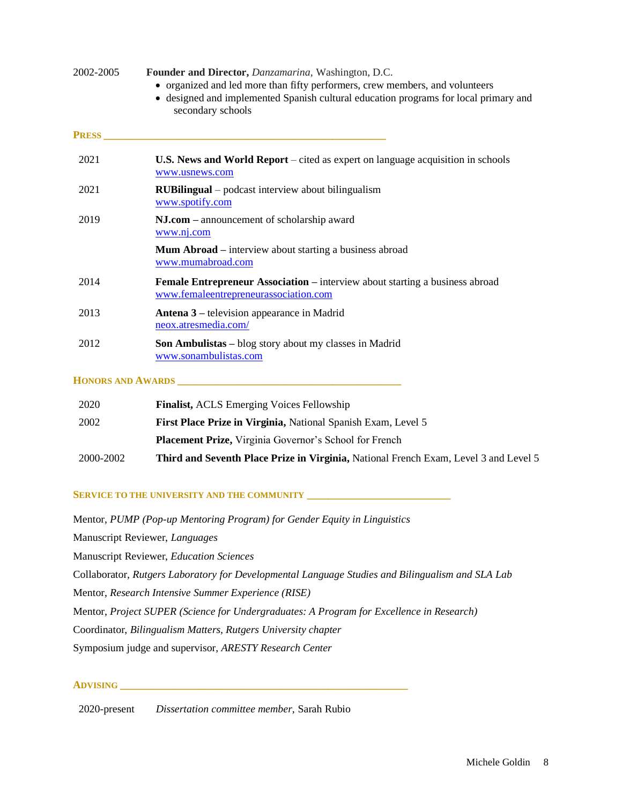| 2002-2005     | Founder and Director, Danzamarina, Washington, D.C.<br>• organized and led more than fifty performers, crew members, and volunteers<br>• designed and implemented Spanish cultural education programs for local primary and<br>secondary schools |
|---------------|--------------------------------------------------------------------------------------------------------------------------------------------------------------------------------------------------------------------------------------------------|
| <b>PRESS_</b> |                                                                                                                                                                                                                                                  |
| 2021          | <b>U.S. News and World Report</b> – cited as expert on language acquisition in schools<br>www.usnews.com                                                                                                                                         |
| 2021          | <b>RUBilingual</b> – podcast interview about bilingualism<br>www.spotify.com                                                                                                                                                                     |
| 2019          | NJ.com – announcement of scholarship award<br>www.nj.com                                                                                                                                                                                         |
|               | <b>Mum Abroad</b> – interview about starting a business abroad<br>www.mumabroad.com                                                                                                                                                              |
| 2014          | Female Entrepreneur Association – interview about starting a business abroad<br>www.femaleentrepreneurassociation.com                                                                                                                            |
| 2013          | <b>Antena 3</b> – television appearance in Madrid<br>neox.atresmedia.com/                                                                                                                                                                        |
| 2012          | Son Ambulistas – blog story about my classes in Madrid<br>www.sonambulistas.com                                                                                                                                                                  |
|               |                                                                                                                                                                                                                                                  |

| 2020      | <b>Finalist, ACLS Emerging Voices Fellowship</b>                                            |
|-----------|---------------------------------------------------------------------------------------------|
| 2002      | First Place Prize in Virginia, National Spanish Exam, Level 5                               |
|           | <b>Placement Prize, Virginia Governor's School for French</b>                               |
| 2000-2002 | <b>Third and Seventh Place Prize in Virginia, National French Exam, Level 3 and Level 5</b> |

## **SERVICE TO THE UNIVERSITY AND THE COMMUNITY \_\_\_\_\_\_\_\_\_\_\_\_\_\_\_\_\_\_\_\_\_\_\_\_\_\_\_**

Mentor, *PUMP (Pop-up Mentoring Program) for Gender Equity in Linguistics*

Manuscript Reviewer, *Languages*

Manuscript Reviewer, *Education Sciences*

Collaborator, *Rutgers Laboratory for Developmental Language Studies and Bilingualism and SLA Lab*

Mentor, *Research Intensive Summer Experience (RISE)*

Mentor, *Project SUPER (Science for Undergraduates: A Program for Excellence in Research)*

Coordinator, *Bilingualism Matters, Rutgers University chapter*

Symposium judge and supervisor, *ARESTY Research Center*

## **ADVISING \_\_\_\_\_\_\_\_\_\_\_\_\_\_\_\_\_\_\_\_\_\_\_\_\_\_\_\_\_\_\_\_\_\_\_\_\_\_\_\_\_\_\_\_\_\_\_\_\_\_\_\_\_\_**

2020-present *Dissertation committee member,* Sarah Rubio